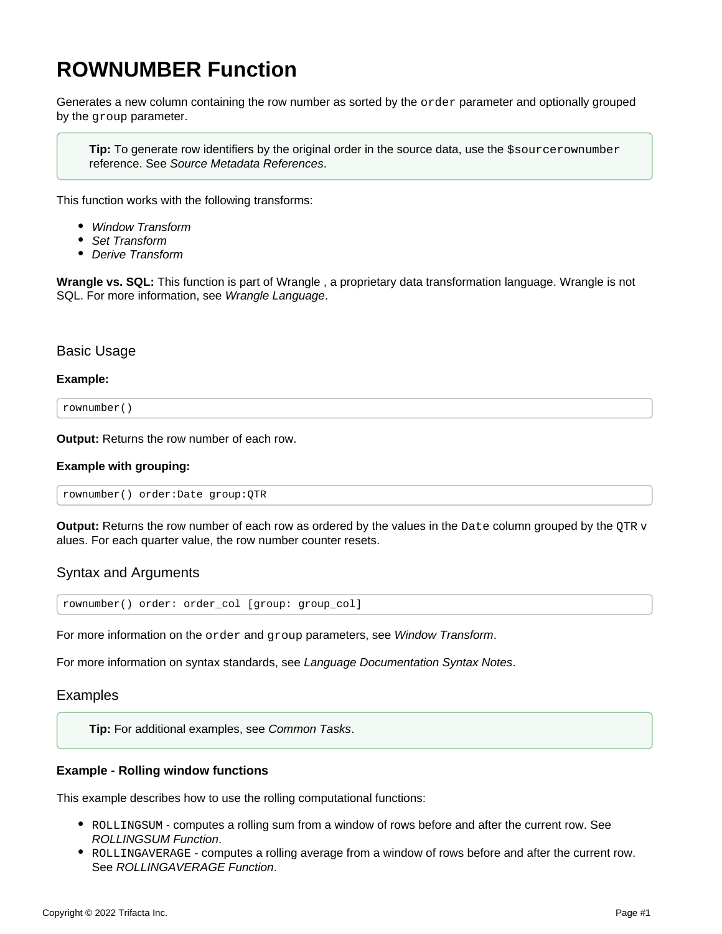# <span id="page-0-0"></span>**ROWNUMBER Function**

Generates a new column containing the row number as sorted by the order parameter and optionally grouped by the group parameter.

**Tip:** To generate row identifiers by the original order in the source data, use the \$sourcerownumber reference. See [Source Metadata References](https://docs.trifacta.com/display/r087/Source+Metadata+References).

This function works with the following transforms:

- [Window Transform](https://docs.trifacta.com/display/r087/Window+Transform)
- [Set Transform](https://docs.trifacta.com/display/r087/Set+Transform)
- [Derive Transform](https://docs.trifacta.com/display/r087/Derive+Transform)

**Wrangle vs. SQL:** This function is part of Wrangle , a proprietary data transformation language. Wrangle is not SQL. For more information, see [Wrangle Language](https://docs.trifacta.com/display/r087/Wrangle+Language).

#### Basic Usage

#### **Example:**

rownumber()

**Output:** Returns the row number of each row.

#### **Example with grouping:**

rownumber() order:Date group:QTR

**Output:** Returns the row number of each row as ordered by the values in the Date column grouped by the QTR v alues. For each quarter value, the row number counter resets.

## Syntax and Arguments

rownumber() order: order\_col [group: group\_col]

For more information on the order and group parameters, see [Window Transform](https://docs.trifacta.com/display/r087/Window+Transform).

For more information on syntax standards, see [Language Documentation Syntax Notes](https://docs.trifacta.com/display/r087/Language+Documentation+Syntax+Notes).

Examples

**Tip:** For additional examples, see [Common Tasks](https://docs.trifacta.com/display/r087/Common+Tasks).

#### **Example - Rolling window functions**

This example describes how to use the rolling computational functions:

- ROLLINGSUM computes a rolling sum from a window of rows before and after the current row. See [ROLLINGSUM Function](https://docs.trifacta.com/display/r087/ROLLINGSUM+Function).
- ROLLINGAVERAGE computes a rolling average from a window of rows before and after the current row. See [ROLLINGAVERAGE Function](https://docs.trifacta.com/display/r087/ROLLINGAVERAGE+Function).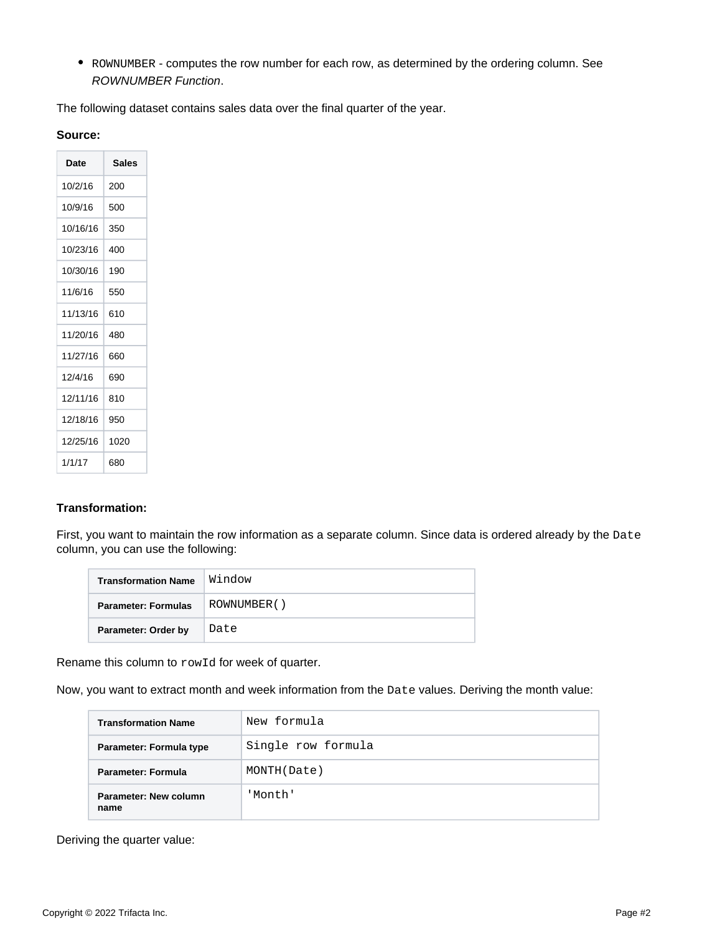• ROWNUMBER - computes the row number for each row, as determined by the ordering column. See [ROWNUMBER Function](#page-0-0).

The following dataset contains sales data over the final quarter of the year.

| ourc |  |
|------|--|
|------|--|

| Date     | <b>Sales</b> |
|----------|--------------|
| 10/2/16  | 200          |
| 10/9/16  | 500          |
| 10/16/16 | 350          |
| 10/23/16 | 400          |
| 10/30/16 | 190          |
| 11/6/16  | 550          |
| 11/13/16 | 610          |
| 11/20/16 | 480          |
| 11/27/16 | 660          |
| 12/4/16  | 690          |
| 12/11/16 | 810          |
| 12/18/16 | 950          |
| 12/25/16 | 1020         |
| 1/1/17   | 680          |

## **Transformation:**

First, you want to maintain the row information as a separate column. Since data is ordered already by the Date column, you can use the following:

| <b>Transformation Name</b> | Window      |  |  |
|----------------------------|-------------|--|--|
| <b>Parameter: Formulas</b> | ROWNUMBER() |  |  |
| Parameter: Order by        | Date        |  |  |

Rename this column to rowId for week of quarter.

Now, you want to extract month and week information from the Date values. Deriving the month value:

| <b>Transformation Name</b>    | New formula        |
|-------------------------------|--------------------|
| Parameter: Formula type       | Single row formula |
| <b>Parameter: Formula</b>     | MONTH(Date)        |
| Parameter: New column<br>name | 'Month'            |

Deriving the quarter value: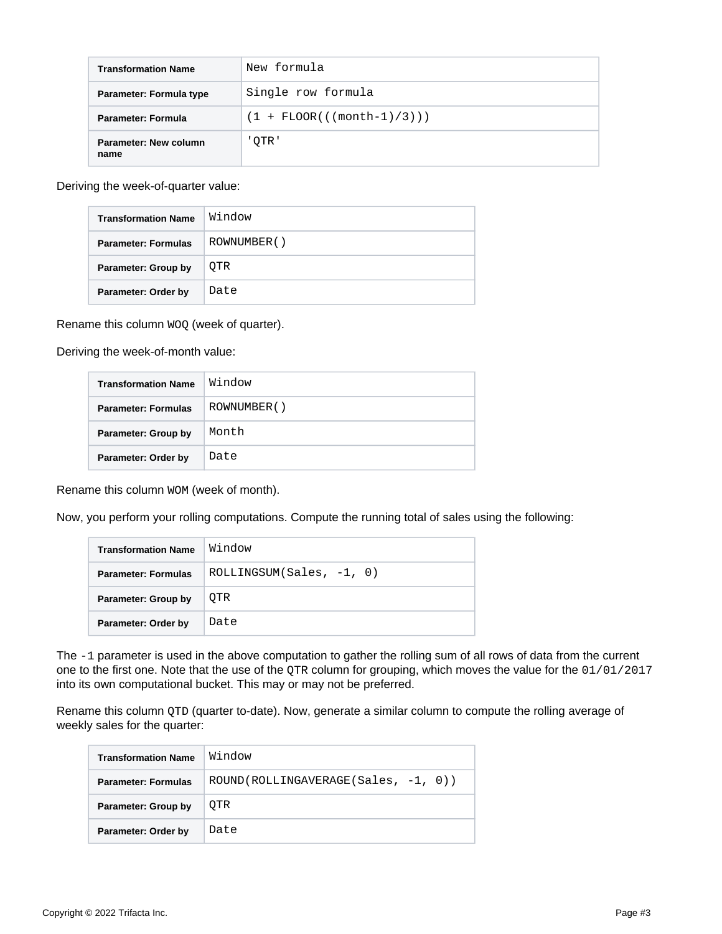| <b>Transformation Name</b>    | New formula                               |  |  |
|-------------------------------|-------------------------------------------|--|--|
| Parameter: Formula type       | Single row formula                        |  |  |
| Parameter: Formula            | $(1 + \text{FLOOR}((\text{month}-1)/3)))$ |  |  |
| Parameter: New column<br>name | ' OTR '                                   |  |  |

Deriving the week-of-quarter value:

| <b>Transformation Name</b> | Window      |  |  |
|----------------------------|-------------|--|--|
| <b>Parameter: Formulas</b> | ROWNUMBER() |  |  |
| Parameter: Group by        | OTR         |  |  |
| Parameter: Order by        | Date        |  |  |

Rename this column  $WOQ$  (week of quarter).

Deriving the week-of-month value:

| <b>Transformation Name</b> | Window      |
|----------------------------|-------------|
| <b>Parameter: Formulas</b> | ROWNUMBER() |
| Parameter: Group by        | Month       |
| Parameter: Order by        | Date        |

Rename this column WOM (week of month).

Now, you perform your rolling computations. Compute the running total of sales using the following:

| <b>Transformation Name</b> | Window                     |  |
|----------------------------|----------------------------|--|
| <b>Parameter: Formulas</b> | $ROLLINGSUM(Sales, -1, 0)$ |  |
| Parameter: Group by        | OTR                        |  |
| Parameter: Order by        | Date                       |  |

The -1 parameter is used in the above computation to gather the rolling sum of all rows of data from the current one to the first one. Note that the use of the QTR column for grouping, which moves the value for the 01/01/2017 into its own computational bucket. This may or may not be preferred.

Rename this column QTD (quarter to-date). Now, generate a similar column to compute the rolling average of weekly sales for the quarter:

| <b>Transformation Name</b> | Window                                |
|----------------------------|---------------------------------------|
| <b>Parameter: Formulas</b> | $ROUND(ROLLINGAVERAGE(Sales, -1, 0))$ |
| <b>Parameter: Group by</b> | OTR                                   |
| Parameter: Order by        | Date                                  |